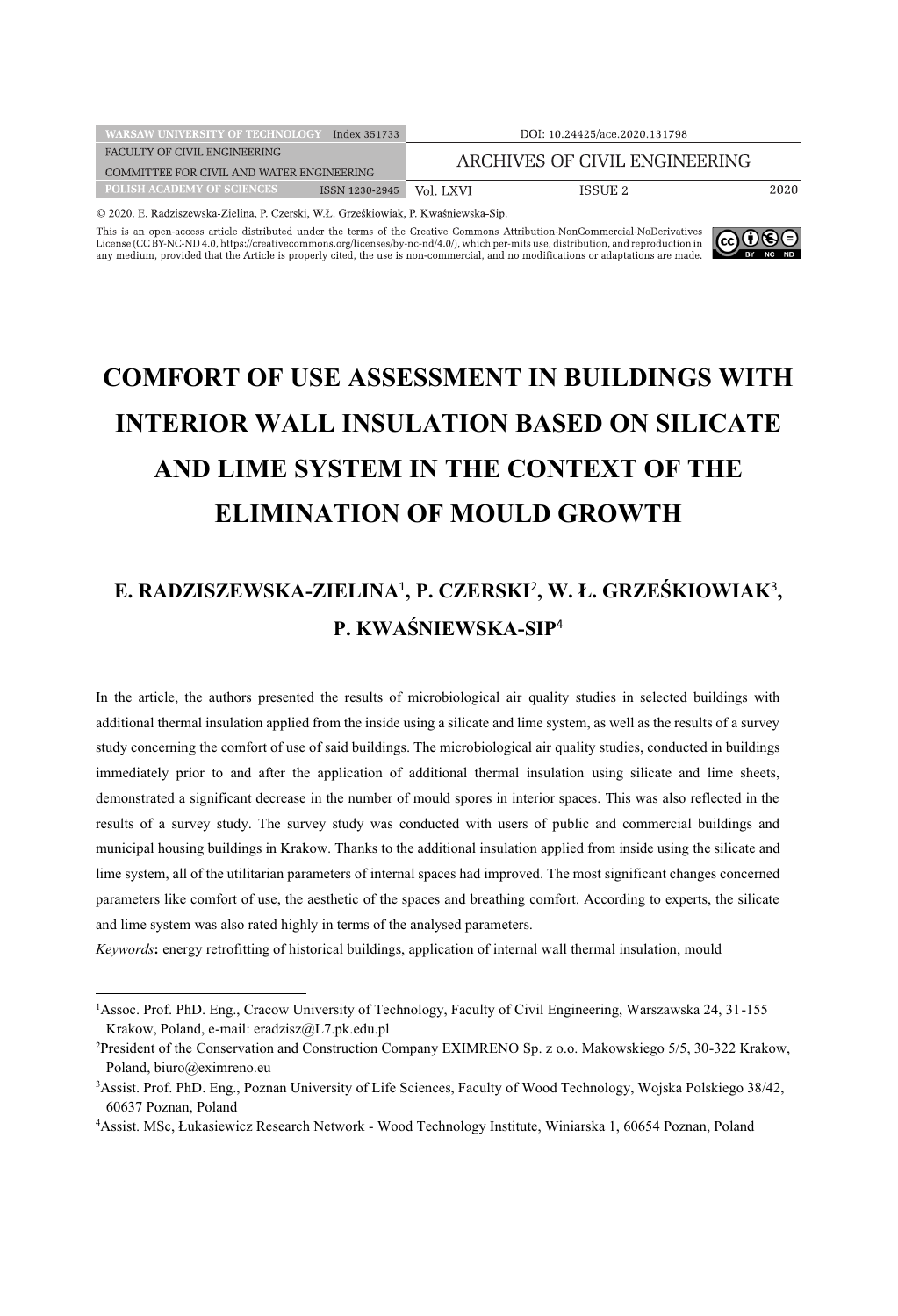| <b>WARSAW UNIVERSITY OF TECHNOLOGY</b>    | Index 351733   |                               | DOI: 10.24425/ace.2020.131798 |      |
|-------------------------------------------|----------------|-------------------------------|-------------------------------|------|
| FACULTY OF CIVIL ENGINEERING              |                | ARCHIVES OF CIVIL ENGINEERING |                               |      |
| COMMITTEE FOR CIVIL AND WATER ENGINEERING |                |                               |                               |      |
| POLISH ACADEMY OF SCIENCES.               | ISSN 1230-2945 | Vol. LXVI                     | ISSUE 2                       | 2020 |
|                                           |                |                               |                               |      |

© 2020. E. Radziszewska-Zielina, P. Czerski, W.Ł. Grześkiowiak, P. Kwaśniewska-Sip.

This is an open-access article distributed under the terms of the Creative Commons Attribution-NonCommercial-NoDerivatives License (CC BY-NC-ND 4.0, https://creativecommons.org/licenses/by-nc-nd/4.0/), which per-mits use, distribution, and reproduction in any medium, provided that the Article is properly cited, the use is non-commercial, and n



# **COMFORT OF USE ASSESSMENT IN BUILDINGS WITH INTERIOR WALL INSULATION BASED ON SILICATE AND LIME SYSTEM IN THE CONTEXT OF THE ELIMINATION OF MOULD GROWTH**

## **E. RADZISZEWSKA-ZIELINA**<sup>1</sup> **, P. CZERSKI**<sup>2</sup> **, W. Ł. GRZEŚKIOWIAK**<sup>3</sup> **, P. KWAŚNIEWSKA-SIP**<sup>4</sup>

In the article, the authors presented the results of microbiological air quality studies in selected buildings with additional thermal insulation applied from the inside using a silicate and lime system, as well as the results of a survey study concerning the comfort of use of said buildings. The microbiological air quality studies, conducted in buildings immediately prior to and after the application of additional thermal insulation using silicate and lime sheets, demonstrated a significant decrease in the number of mould spores in interior spaces. This was also reflected in the results of a survey study. The survey study was conducted with users of public and commercial buildings and municipal housing buildings in Krakow. Thanks to the additional insulation applied from inside using the silicate and lime system, all of the utilitarian parameters of internal spaces had improved. The most significant changes concerned parameters like comfort of use, the aesthetic of the spaces and breathing comfort. According to experts, the silicate and lime system was also rated highly in terms of the analysed parameters.

*Keywords***:** energy retrofitting of historical buildings, application of internal wall thermal insulation, mould

<sup>1</sup> Assoc. Prof. PhD. Eng., Cracow University of Technology, Faculty of Civil Engineering, Warszawska 24, 31-155 Krakow, Poland, e-mail: eradzisz@L7.pk.edu.pl

<sup>2</sup> President of the Conservation and Construction Company EXIMRENO Sp. z o.o. Makowskiego 5/5, 30-322 Krakow, Poland, biuro@eximreno.eu

<sup>3</sup> Assist. Prof. PhD. Eng., Poznan University of Life Sciences, Faculty of Wood Technology, Wojska Polskiego 38/42, 60637 Poznan, Poland

<sup>4</sup> Assist. MSc, Łukasiewicz Research Network - Wood Technology Institute, Winiarska 1, 60654 Poznan, Poland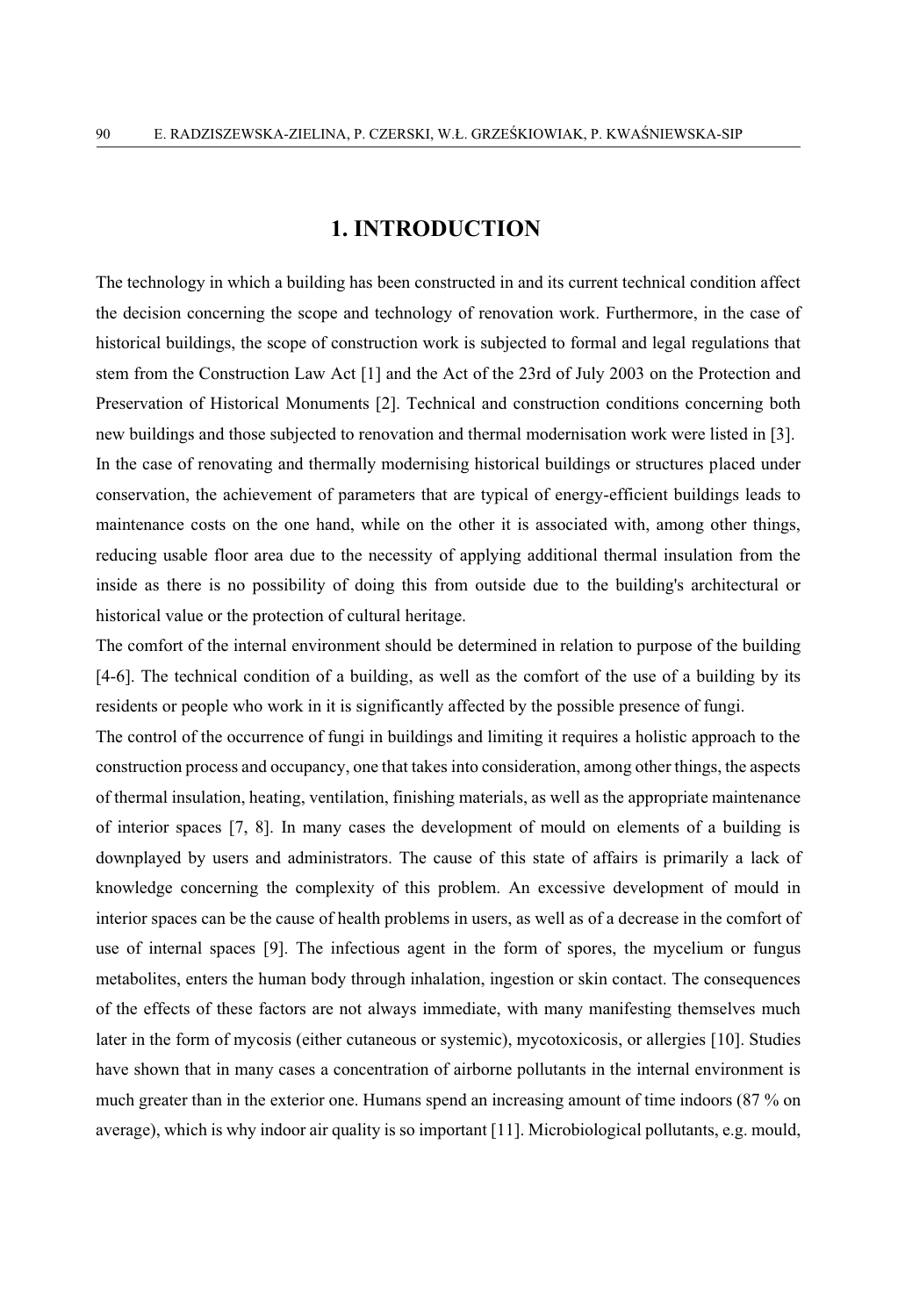#### **1. INTRODUCTION**

The technology in which a building has been constructed in and its current technical condition affect the decision concerning the scope and technology of renovation work. Furthermore, in the case of historical buildings, the scope of construction work is subjected to formal and legal regulations that stem from the Construction Law Act [1] and the Act of the 23rd of July 2003 on the Protection and Preservation of Historical Monuments [2]. Technical and construction conditions concerning both new buildings and those subjected to renovation and thermal modernisation work were listed in [3]. In the case of renovating and thermally modernising historical buildings or structures placed under conservation, the achievement of parameters that are typical of energy-efficient buildings leads to maintenance costs on the one hand, while on the other it is associated with, among other things, reducing usable floor area due to the necessity of applying additional thermal insulation from the inside as there is no possibility of doing this from outside due to the building's architectural or historical value or the protection of cultural heritage.

The comfort of the internal environment should be determined in relation to purpose of the building [4-6]. The technical condition of a building, as well as the comfort of the use of a building by its residents or people who work in it is significantly affected by the possible presence of fungi.

The control of the occurrence of fungi in buildings and limiting it requires a holistic approach to the construction process and occupancy, one that takes into consideration, among other things, the aspects of thermal insulation, heating, ventilation, finishing materials, as well as the appropriate maintenance of interior spaces [7, 8]. In many cases the development of mould on elements of a building is downplayed by users and administrators. The cause of this state of affairs is primarily a lack of knowledge concerning the complexity of this problem. An excessive development of mould in interior spaces can be the cause of health problems in users, as well as of a decrease in the comfort of use of internal spaces [9]. The infectious agent in the form of spores, the mycelium or fungus metabolites, enters the human body through inhalation, ingestion or skin contact. The consequences of the effects of these factors are not always immediate, with many manifesting themselves much later in the form of mycosis (either cutaneous or systemic), mycotoxicosis, or allergies [10]. Studies have shown that in many cases a concentration of airborne pollutants in the internal environment is much greater than in the exterior one. Humans spend an increasing amount of time indoors (87 % on average), which is why indoor air quality is so important [11]. Microbiological pollutants, e.g. mould,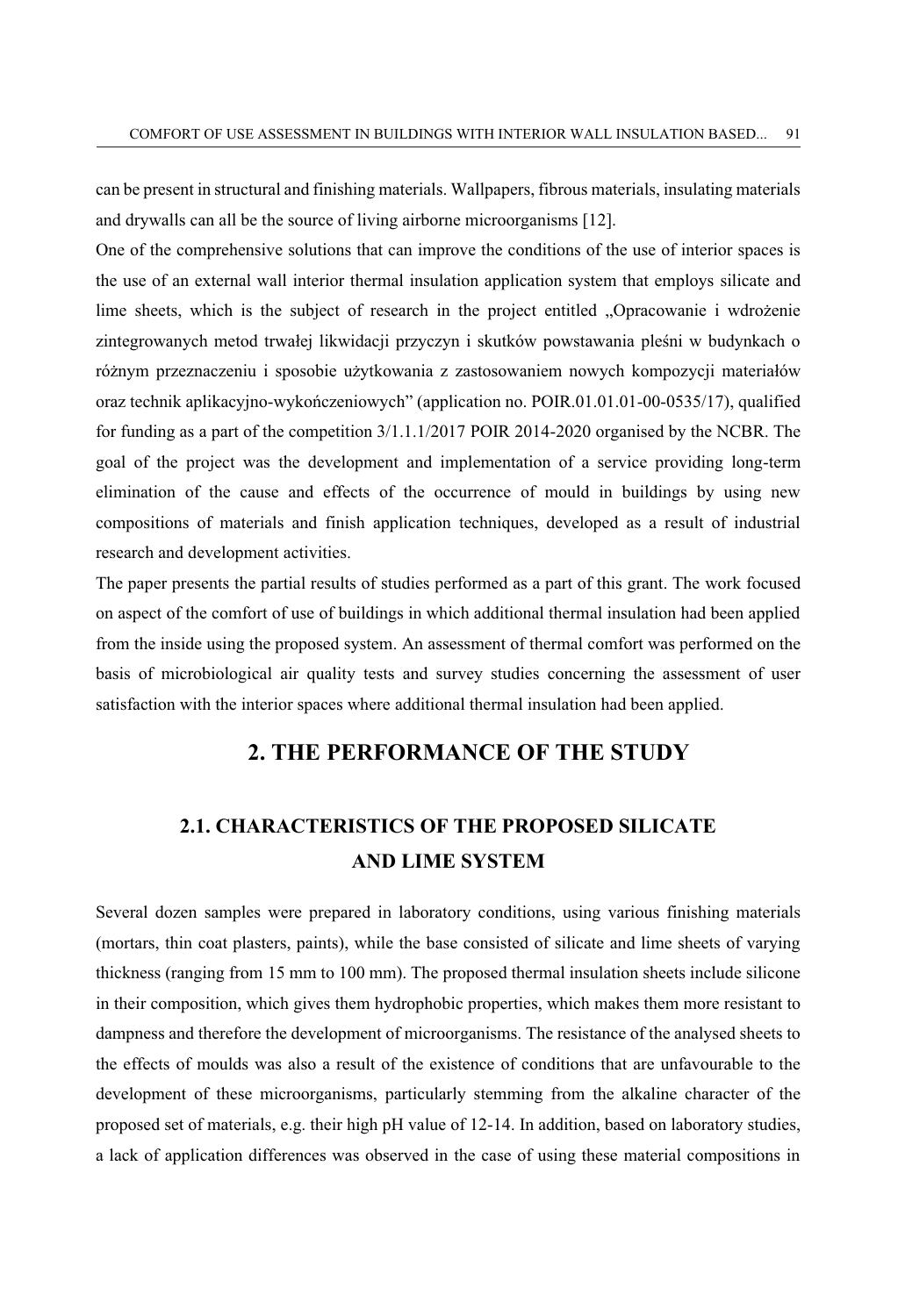can be present in structural and finishing materials. Wallpapers, fibrous materials, insulating materials and drywalls can all be the source of living airborne microorganisms [12].

One of the comprehensive solutions that can improve the conditions of the use of interior spaces is the use of an external wall interior thermal insulation application system that employs silicate and lime sheets, which is the subject of research in the project entitled "Opracowanie i wdrożenie zintegrowanych metod trwałej likwidacji przyczyn i skutków powstawania pleśni w budynkach o różnym przeznaczeniu i sposobie użytkowania z zastosowaniem nowych kompozycji materiałów oraz technik aplikacyjno-wykończeniowych" (application no. POIR.01.01.01-00-0535/17), qualified for funding as a part of the competition 3/1.1.1/2017 POIR 2014-2020 organised by the NCBR. The goal of the project was the development and implementation of a service providing long-term elimination of the cause and effects of the occurrence of mould in buildings by using new compositions of materials and finish application techniques, developed as a result of industrial research and development activities.

The paper presents the partial results of studies performed as a part of this grant. The work focused on aspect of the comfort of use of buildings in which additional thermal insulation had been applied from the inside using the proposed system. An assessment of thermal comfort was performed on the basis of microbiological air quality tests and survey studies concerning the assessment of user satisfaction with the interior spaces where additional thermal insulation had been applied.

#### **2. THE PERFORMANCE OF THE STUDY**

### **2.1. CHARACTERISTICS OF THE PROPOSED SILICATE AND LIME SYSTEM**

Several dozen samples were prepared in laboratory conditions, using various finishing materials (mortars, thin coat plasters, paints), while the base consisted of silicate and lime sheets of varying thickness (ranging from 15 mm to 100 mm). The proposed thermal insulation sheets include silicone in their composition, which gives them hydrophobic properties, which makes them more resistant to dampness and therefore the development of microorganisms. The resistance of the analysed sheets to the effects of moulds was also a result of the existence of conditions that are unfavourable to the development of these microorganisms, particularly stemming from the alkaline character of the proposed set of materials, e.g. their high pH value of 12-14. In addition, based on laboratory studies, a lack of application differences was observed in the case of using these material compositions in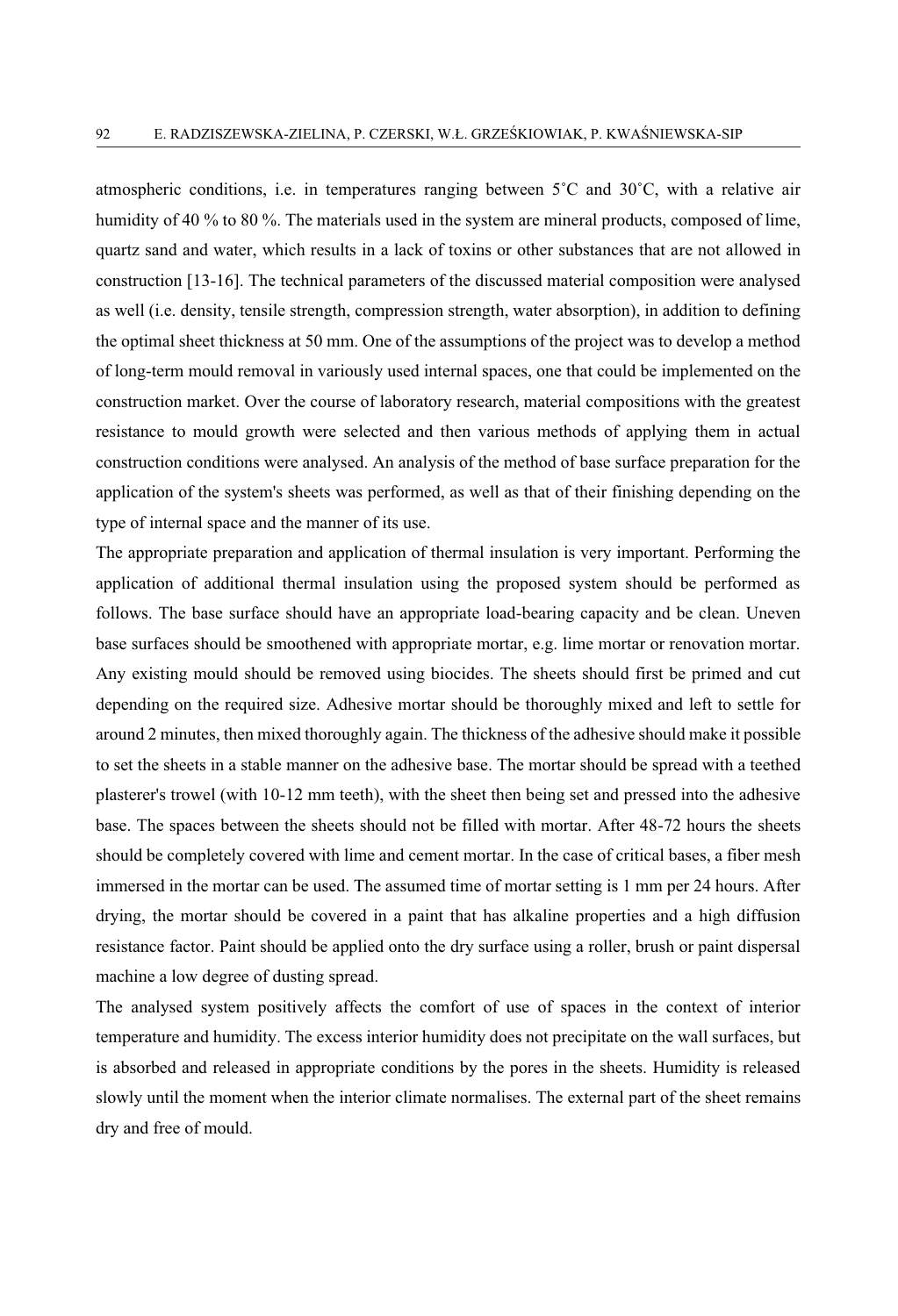atmospheric conditions, i.e. in temperatures ranging between  $5^{\circ}$ C and  $30^{\circ}$ C, with a relative air humidity of 40 % to 80 %. The materials used in the system are mineral products, composed of lime, quartz sand and water, which results in a lack of toxins or other substances that are not allowed in construction [13-16]. The technical parameters of the discussed material composition were analysed as well (i.e. density, tensile strength, compression strength, water absorption), in addition to defining the optimal sheet thickness at 50 mm. One of the assumptions of the project was to develop a method of long-term mould removal in variously used internal spaces, one that could be implemented on the construction market. Over the course of laboratory research, material compositions with the greatest resistance to mould growth were selected and then various methods of applying them in actual construction conditions were analysed. An analysis of the method of base surface preparation for the application of the system's sheets was performed, as well as that of their finishing depending on the type of internal space and the manner of its use.

The appropriate preparation and application of thermal insulation is very important. Performing the application of additional thermal insulation using the proposed system should be performed as follows. The base surface should have an appropriate load-bearing capacity and be clean. Uneven base surfaces should be smoothened with appropriate mortar, e.g. lime mortar or renovation mortar. Any existing mould should be removed using biocides. The sheets should first be primed and cut depending on the required size. Adhesive mortar should be thoroughly mixed and left to settle for around 2 minutes, then mixed thoroughly again. The thickness of the adhesive should make it possible to set the sheets in a stable manner on the adhesive base. The mortar should be spread with a teethed plasterer's trowel (with 10-12 mm teeth), with the sheet then being set and pressed into the adhesive base. The spaces between the sheets should not be filled with mortar. After 48-72 hours the sheets should be completely covered with lime and cement mortar. In the case of critical bases, a fiber mesh immersed in the mortar can be used. The assumed time of mortar setting is 1 mm per 24 hours. After drying, the mortar should be covered in a paint that has alkaline properties and a high diffusion resistance factor. Paint should be applied onto the dry surface using a roller, brush or paint dispersal machine a low degree of dusting spread.

The analysed system positively affects the comfort of use of spaces in the context of interior temperature and humidity. The excess interior humidity does not precipitate on the wall surfaces, but is absorbed and released in appropriate conditions by the pores in the sheets. Humidity is released slowly until the moment when the interior climate normalises. The external part of the sheet remains dry and free of mould.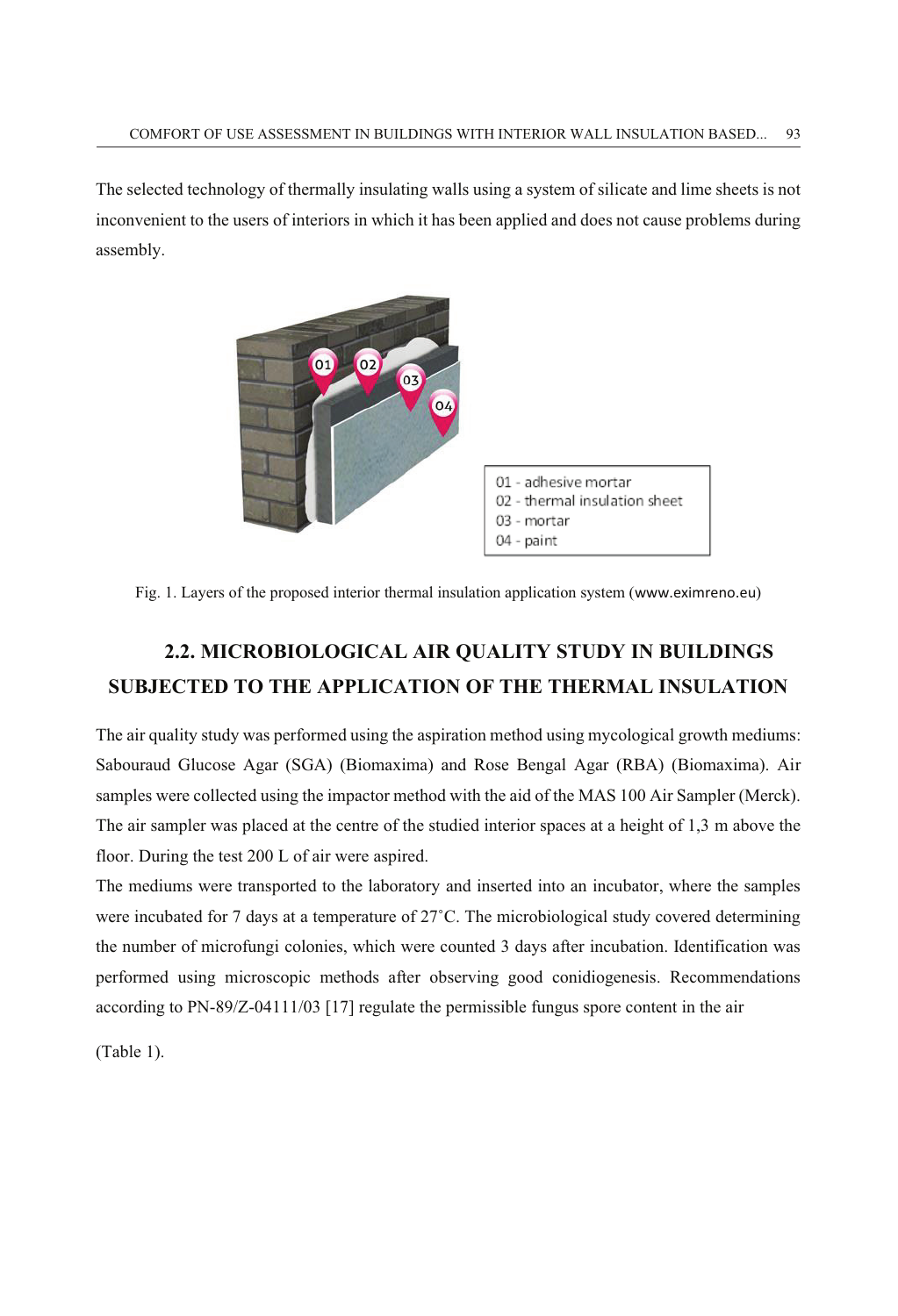The selected technology of thermally insulating walls using a system of silicate and lime sheets is not inconvenient to the users of interiors in which it has been applied and does not cause problems during assembly.



Fig. 1. Layers of the proposed interior thermal insulation application system (www.eximreno.eu)

## **2.2. MICROBIOLOGICAL AIR QUALITY STUDY IN BUILDINGS SUBJECTED TO THE APPLICATION OF THE THERMAL INSULATION**

The air quality study was performed using the aspiration method using mycological growth mediums: Sabouraud Glucose Agar (SGA) (Biomaxima) and Rose Bengal Agar (RBA) (Biomaxima). Air samples were collected using the impactor method with the aid of the MAS 100 Air Sampler (Merck). The air sampler was placed at the centre of the studied interior spaces at a height of 1,3 m above the floor. During the test 200 L of air were aspired.

The mediums were transported to the laboratory and inserted into an incubator, where the samples were incubated for 7 days at a temperature of  $27^{\circ}$ C. The microbiological study covered determining the number of microfungi colonies, which were counted 3 days after incubation. Identification was performed using microscopic methods after observing good conidiogenesis. Recommendations according to PN-89/Z-04111/03 [17] regulate the permissible fungus spore content in the air

(Table 1).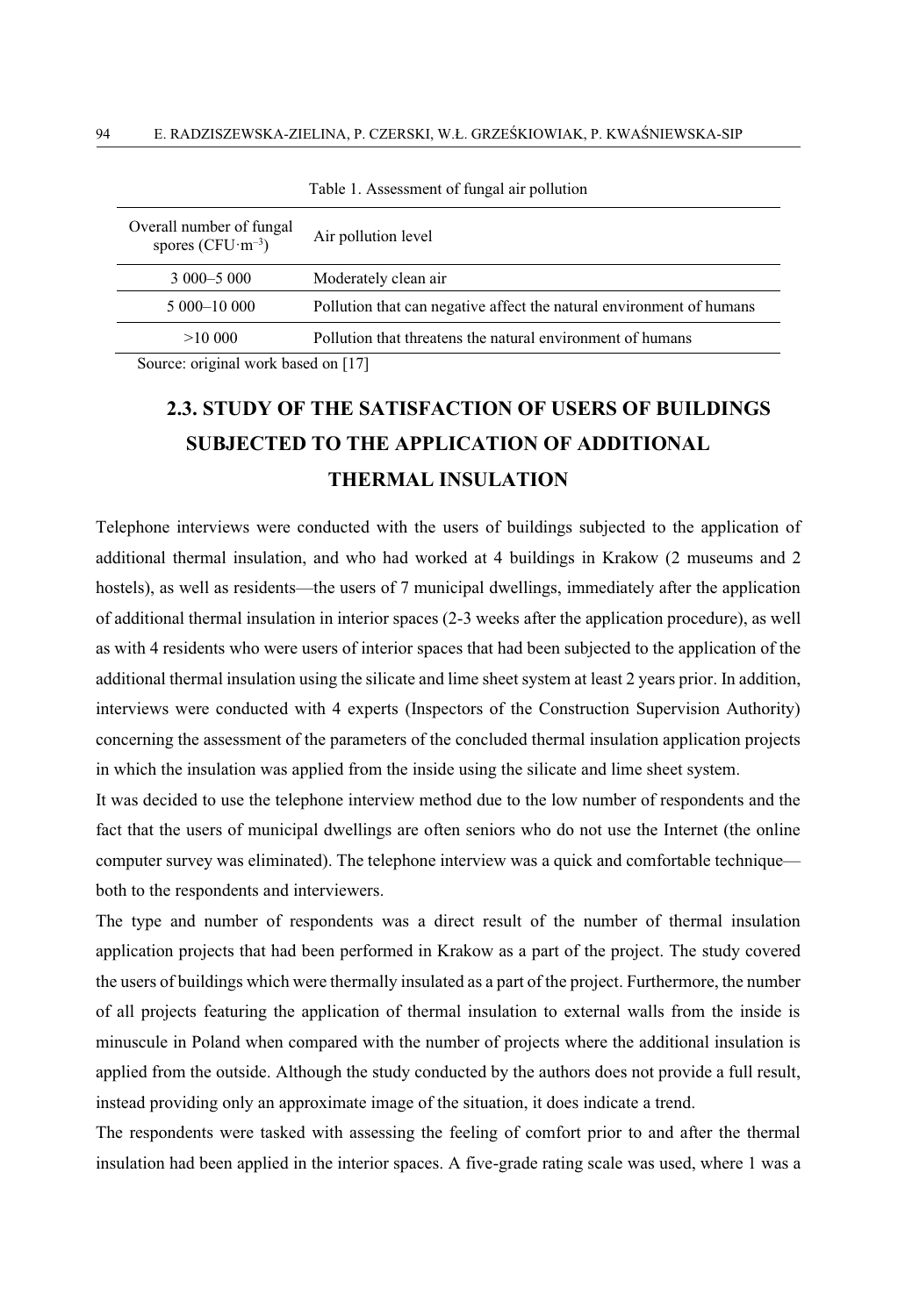| Overall number of fungal<br>spores ( $CFU·m-3$ ) | Air pollution level                                                  |  |
|--------------------------------------------------|----------------------------------------------------------------------|--|
| $3000 - 5000$                                    | Moderately clean air                                                 |  |
| 5 000 - 10 000                                   | Pollution that can negative affect the natural environment of humans |  |
| >1000                                            | Pollution that threatens the natural environment of humans           |  |

Table 1. Assessment of fungal air pollution

Source: original work based on [17]

## **2.3. STUDY OF THE SATISFACTION OF USERS OF BUILDINGS SUBJECTED TO THE APPLICATION OF ADDITIONAL THERMAL INSULATION**

Telephone interviews were conducted with the users of buildings subjected to the application of additional thermal insulation, and who had worked at 4 buildings in Krakow (2 museums and 2 hostels), as well as residents—the users of 7 municipal dwellings, immediately after the application of additional thermal insulation in interior spaces (2-3 weeks after the application procedure), as well as with 4 residents who were users of interior spaces that had been subjected to the application of the additional thermal insulation using the silicate and lime sheet system at least 2 years prior. In addition, interviews were conducted with 4 experts (Inspectors of the Construction Supervision Authority) concerning the assessment of the parameters of the concluded thermal insulation application projects in which the insulation was applied from the inside using the silicate and lime sheet system.

It was decided to use the telephone interview method due to the low number of respondents and the fact that the users of municipal dwellings are often seniors who do not use the Internet (the online computer survey was eliminated). The telephone interview was a quick and comfortable technique both to the respondents and interviewers.

The type and number of respondents was a direct result of the number of thermal insulation application projects that had been performed in Krakow as a part of the project. The study covered the users of buildings which were thermally insulated as a part of the project. Furthermore, the number of all projects featuring the application of thermal insulation to external walls from the inside is minuscule in Poland when compared with the number of projects where the additional insulation is applied from the outside. Although the study conducted by the authors does not provide a full result, instead providing only an approximate image of the situation, it does indicate a trend.

The respondents were tasked with assessing the feeling of comfort prior to and after the thermal insulation had been applied in the interior spaces. A five-grade rating scale was used, where 1 was a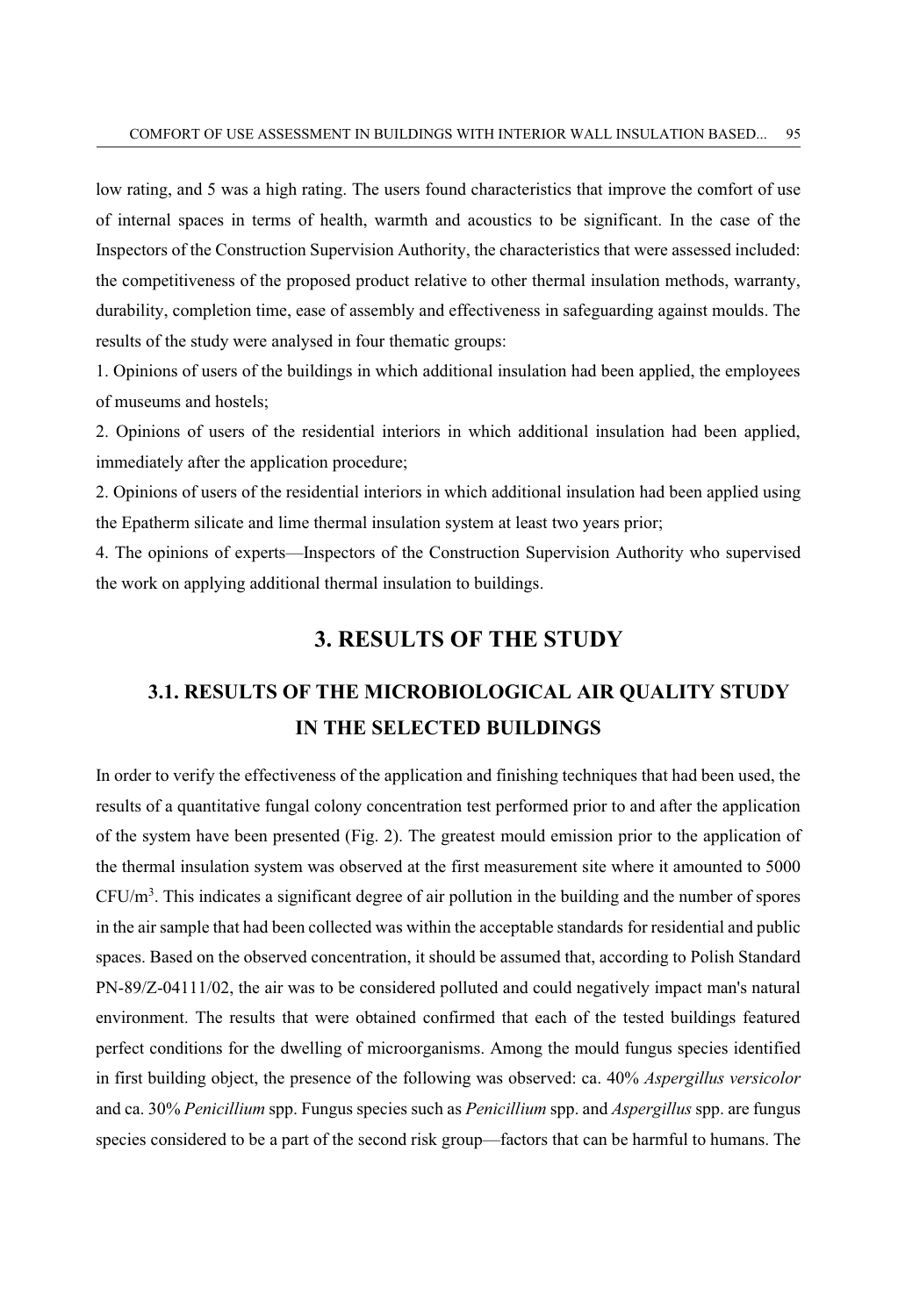low rating, and 5 was a high rating. The users found characteristics that improve the comfort of use of internal spaces in terms of health, warmth and acoustics to be significant. In the case of the Inspectors of the Construction Supervision Authority, the characteristics that were assessed included: the competitiveness of the proposed product relative to other thermal insulation methods, warranty, durability, completion time, ease of assembly and effectiveness in safeguarding against moulds. The results of the study were analysed in four thematic groups:

1. Opinions of users of the buildings in which additional insulation had been applied, the employees of museums and hostels;

2. Opinions of users of the residential interiors in which additional insulation had been applied, immediately after the application procedure;

2. Opinions of users of the residential interiors in which additional insulation had been applied using the Epatherm silicate and lime thermal insulation system at least two years prior;

4. The opinions of experts—Inspectors of the Construction Supervision Authority who supervised the work on applying additional thermal insulation to buildings.

#### **3. RESULTS OF THE STUDY**

### **3.1. RESULTS OF THE MICROBIOLOGICAL AIR QUALITY STUDY IN THE SELECTED BUILDINGS**

In order to verify the effectiveness of the application and finishing techniques that had been used, the results of a quantitative fungal colony concentration test performed prior to and after the application of the system have been presented (Fig. 2). The greatest mould emission prior to the application of the thermal insulation system was observed at the first measurement site where it amounted to 5000  $CFU/m<sup>3</sup>$ . This indicates a significant degree of air pollution in the building and the number of spores in the air sample that had been collected was within the acceptable standards for residential and public spaces. Based on the observed concentration, it should be assumed that, according to Polish Standard PN-89/Z-04111/02, the air was to be considered polluted and could negatively impact man's natural environment. The results that were obtained confirmed that each of the tested buildings featured perfect conditions for the dwelling of microorganisms. Among the mould fungus species identified in first building object, the presence of the following was observed: ca. 40% *Aspergillus versicolor* and ca. 30% *Penicillium* spp. Fungus species such as *Penicillium* spp. and *Aspergillus* spp. are fungus species considered to be a part of the second risk group—factors that can be harmful to humans. The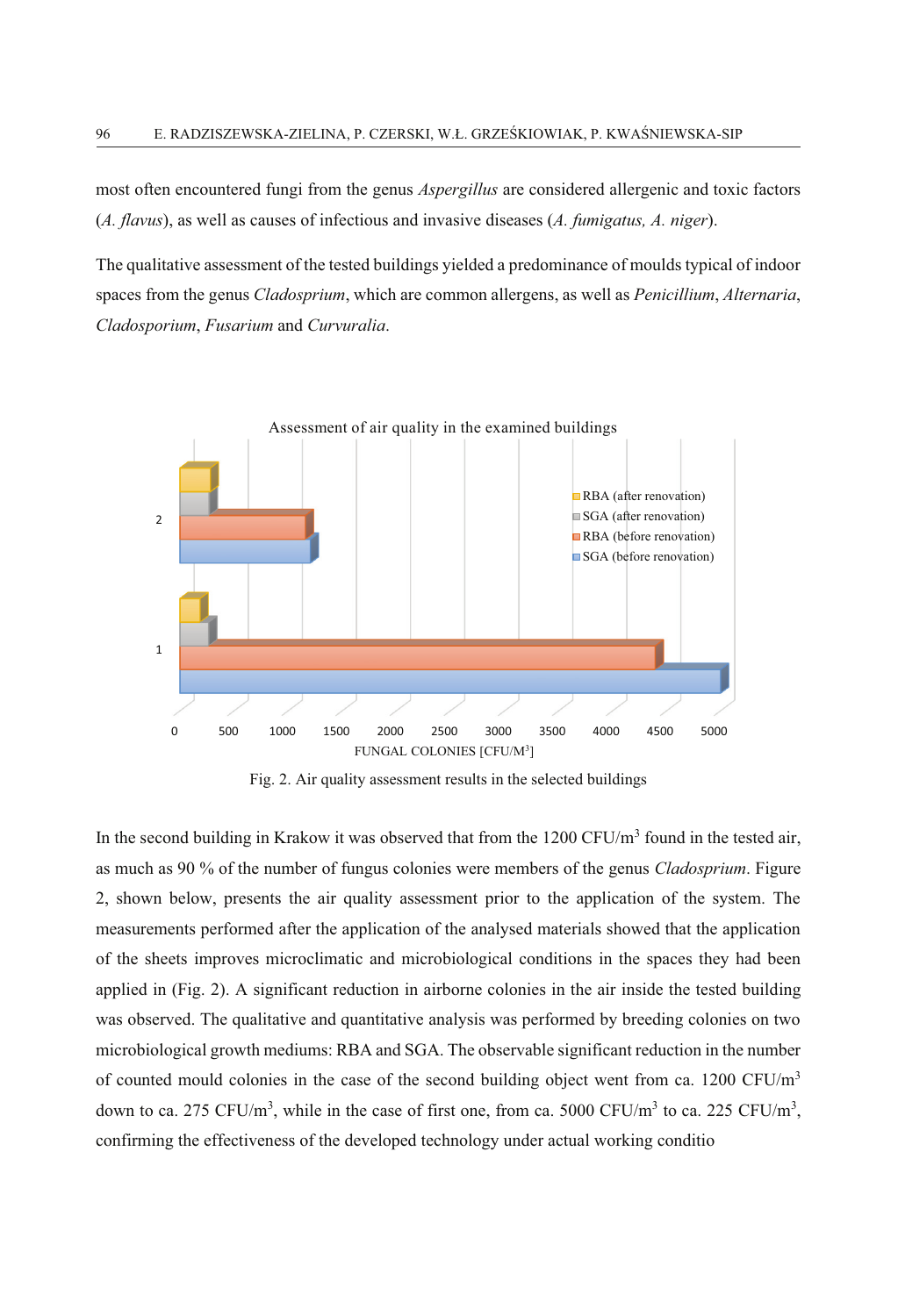most often encountered fungi from the genus *Aspergillus* are considered allergenic and toxic factors (*A. flavus*), as well as causes of infectious and invasive diseases (*A. fumigatus, A. niger*).

The qualitative assessment of the tested buildings yielded a predominance of moulds typical of indoor spaces from the genus *Cladosprium*, which are common allergens, as well as *Penicillium*, *Alternaria*, *Cladosporium*, *Fusarium* and *Curvuralia*.



Fig. 2. Air quality assessment results in the selected buildings

In the second building in Krakow it was observed that from the 1200 CFU/ $m<sup>3</sup>$  found in the tested air, as much as 90 % of the number of fungus colonies were members of the genus *Cladosprium*. Figure 2, shown below, presents the air quality assessment prior to the application of the system. The measurements performed after the application of the analysed materials showed that the application of the sheets improves microclimatic and microbiological conditions in the spaces they had been applied in (Fig. 2). A significant reduction in airborne colonies in the air inside the tested building was observed. The qualitative and quantitative analysis was performed by breeding colonies on two microbiological growth mediums: RBA and SGA. The observable significant reduction in the number of counted mould colonies in the case of the second building object went from ca. 1200 CFU/ $m<sup>3</sup>$ down to ca. 275 CFU/m<sup>3</sup>, while in the case of first one, from ca. 5000 CFU/m<sup>3</sup> to ca. 225 CFU/m<sup>3</sup>, confirming the effectiveness of the developed technology under actual working conditio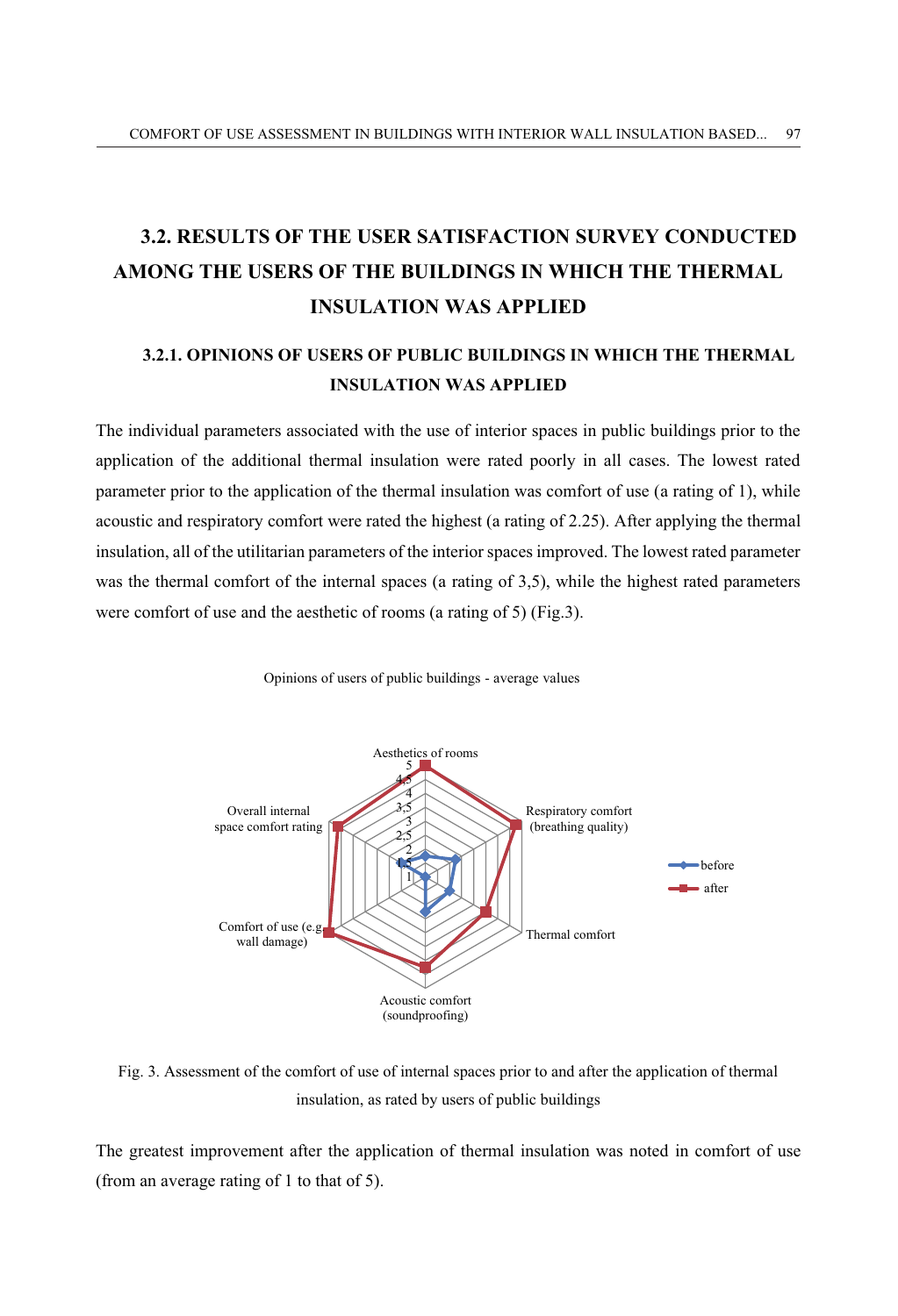## **3.2. RESULTS OF THE USER SATISFACTION SURVEY CONDUCTED AMONG THE USERS OF THE BUILDINGS IN WHICH THE THERMAL INSULATION WAS APPLIED**

### **3.2.1. OPINIONS OF USERS OF PUBLIC BUILDINGS IN WHICH THE THERMAL INSULATION WAS APPLIED**

The individual parameters associated with the use of interior spaces in public buildings prior to the application of the additional thermal insulation were rated poorly in all cases. The lowest rated parameter prior to the application of the thermal insulation was comfort of use (a rating of 1), while acoustic and respiratory comfort were rated the highest (a rating of 2.25). After applying the thermal insulation, all of the utilitarian parameters of the interior spaces improved. The lowest rated parameter was the thermal comfort of the internal spaces (a rating of 3,5), while the highest rated parameters were comfort of use and the aesthetic of rooms (a rating of 5) (Fig.3).



Opinions of users of public buildings - average values

Fig. 3. Assessment of the comfort of use of internal spaces prior to and after the application of thermal insulation, as rated by users of public buildings

The greatest improvement after the application of thermal insulation was noted in comfort of use (from an average rating of 1 to that of 5).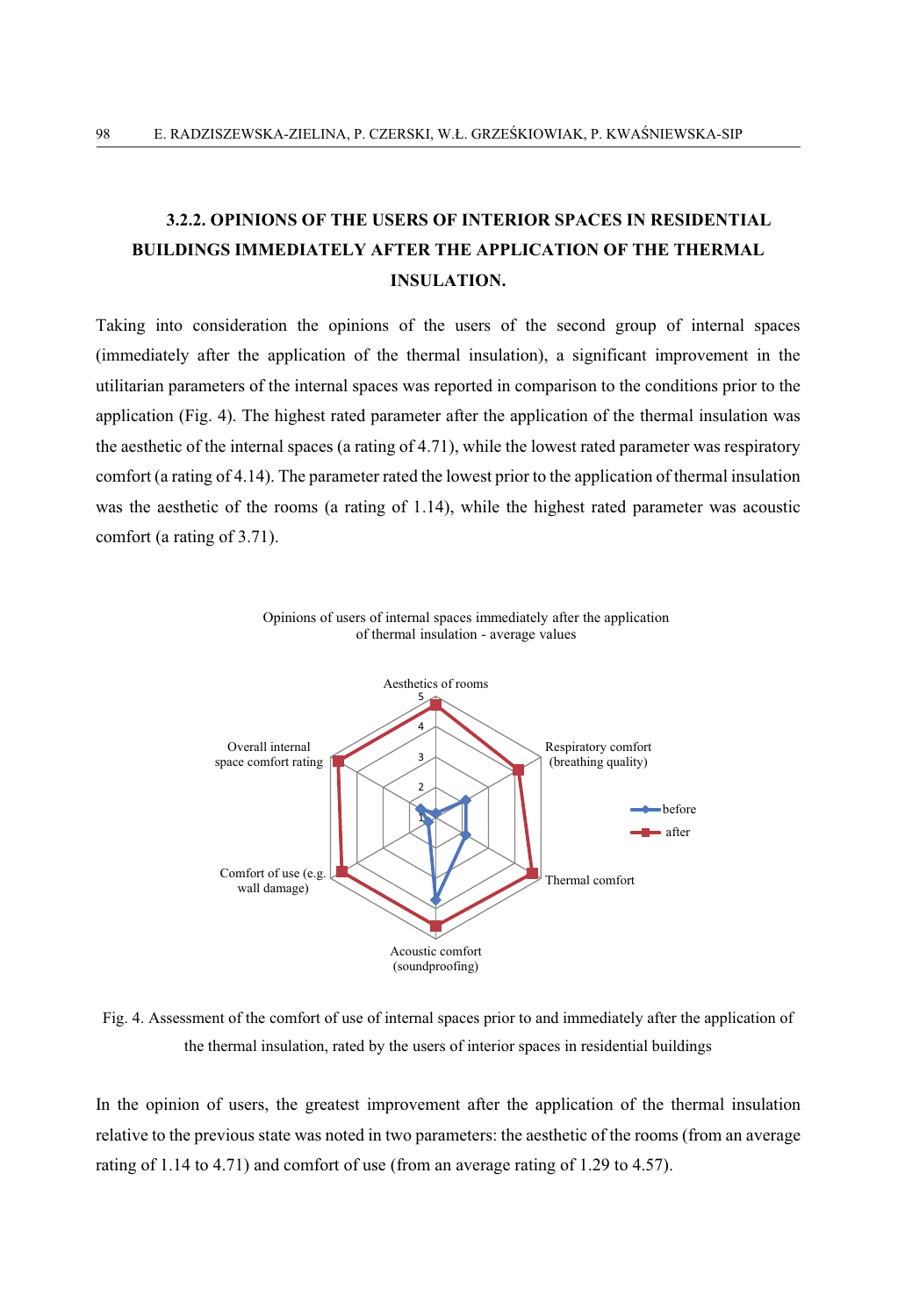### **3.2.2. OPINIONS OF THE USERS OF INTERIOR SPACES IN RESIDENTIAL BUILDINGS IMMEDIATELY AFTER THE APPLICATION OF THE THERMAL INSULATION.**

Taking into consideration the opinions of the users of the second group of internal spaces (immediately after the application of the thermal insulation), a significant improvement in the utilitarian parameters of the internal spaces was reported in comparison to the conditions prior to the application (Fig. 4). The highest rated parameter after the application of the thermal insulation was the aesthetic of the internal spaces (a rating of 4.71), while the lowest rated parameter was respiratory comfort (a rating of 4.14). The parameter rated the lowest prior to the application of thermal insulation was the aesthetic of the rooms (a rating of 1.14), while the highest rated parameter was acoustic comfort (a rating of 3.71).





Fig. 4. Assessment of the comfort of use of internal spaces prior to and immediately after the application of the thermal insulation, rated by the users of interior spaces in residential buildings

In the opinion of users, the greatest improvement after the application of the thermal insulation relative to the previous state was noted in two parameters: the aesthetic of the rooms (from an average rating of 1.14 to 4.71) and comfort of use (from an average rating of 1.29 to 4.57).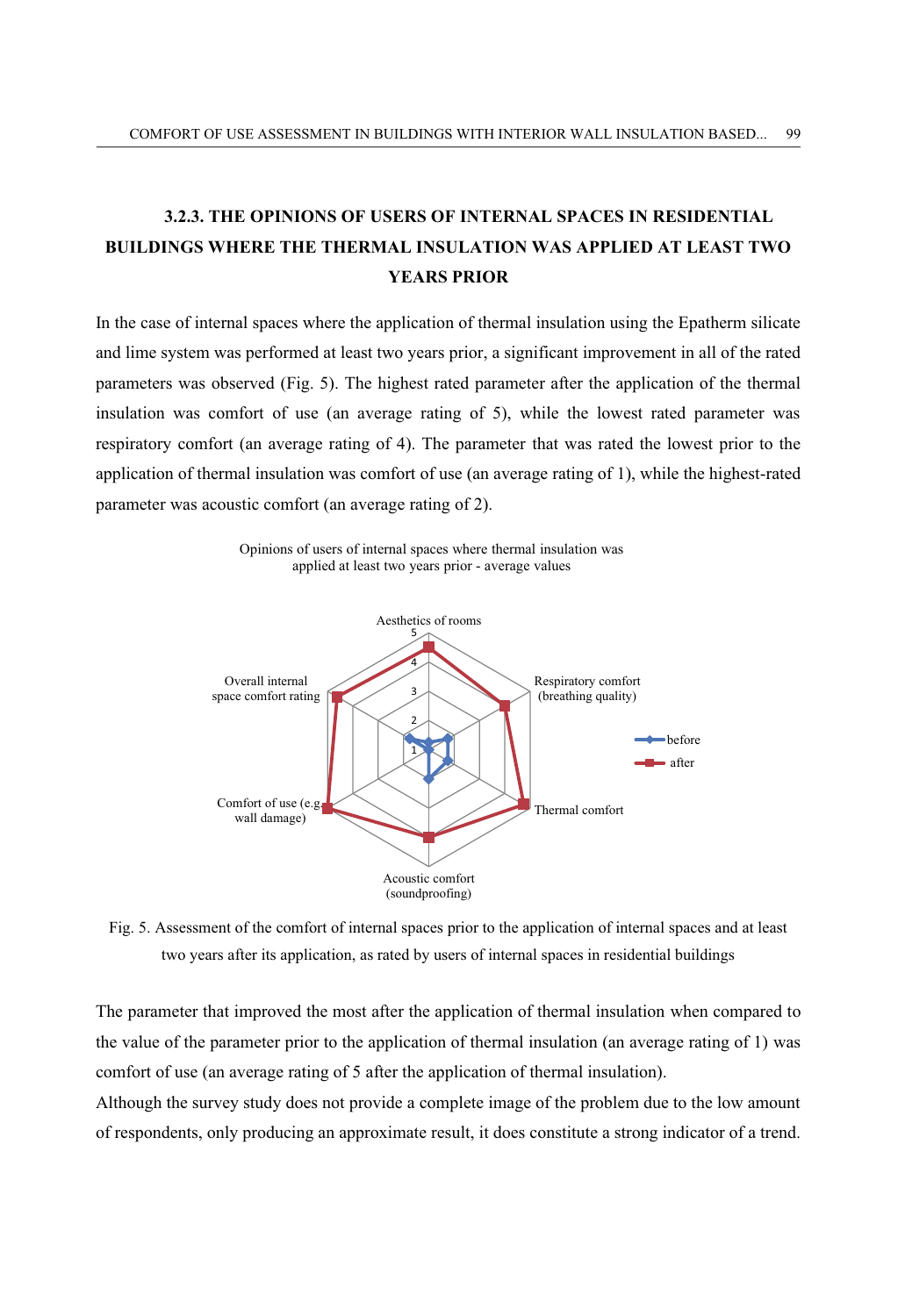### **3.2.3. THE OPINIONS OF USERS OF INTERNAL SPACES IN RESIDENTIAL BUILDINGS WHERE THE THERMAL INSULATION WAS APPLIED AT LEAST TWO YEARS PRIOR**

In the case of internal spaces where the application of thermal insulation using the Epatherm silicate and lime system was performed at least two years prior, a significant improvement in all of the rated parameters was observed (Fig. 5). The highest rated parameter after the application of the thermal insulation was comfort of use (an average rating of 5), while the lowest rated parameter was respiratory comfort (an average rating of 4). The parameter that was rated the lowest prior to the application of thermal insulation was comfort of use (an average rating of 1), while the highest-rated parameter was acoustic comfort (an average rating of 2).



Fig. 5. Assessment of the comfort of internal spaces prior to the application of internal spaces and at least two years after its application, as rated by users of internal spaces in residential buildings

The parameter that improved the most after the application of thermal insulation when compared to the value of the parameter prior to the application of thermal insulation (an average rating of 1) was comfort of use (an average rating of 5 after the application of thermal insulation).

Although the survey study does not provide a complete image of the problem due to the low amount of respondents, only producing an approximate result, it does constitute a strong indicator of a trend.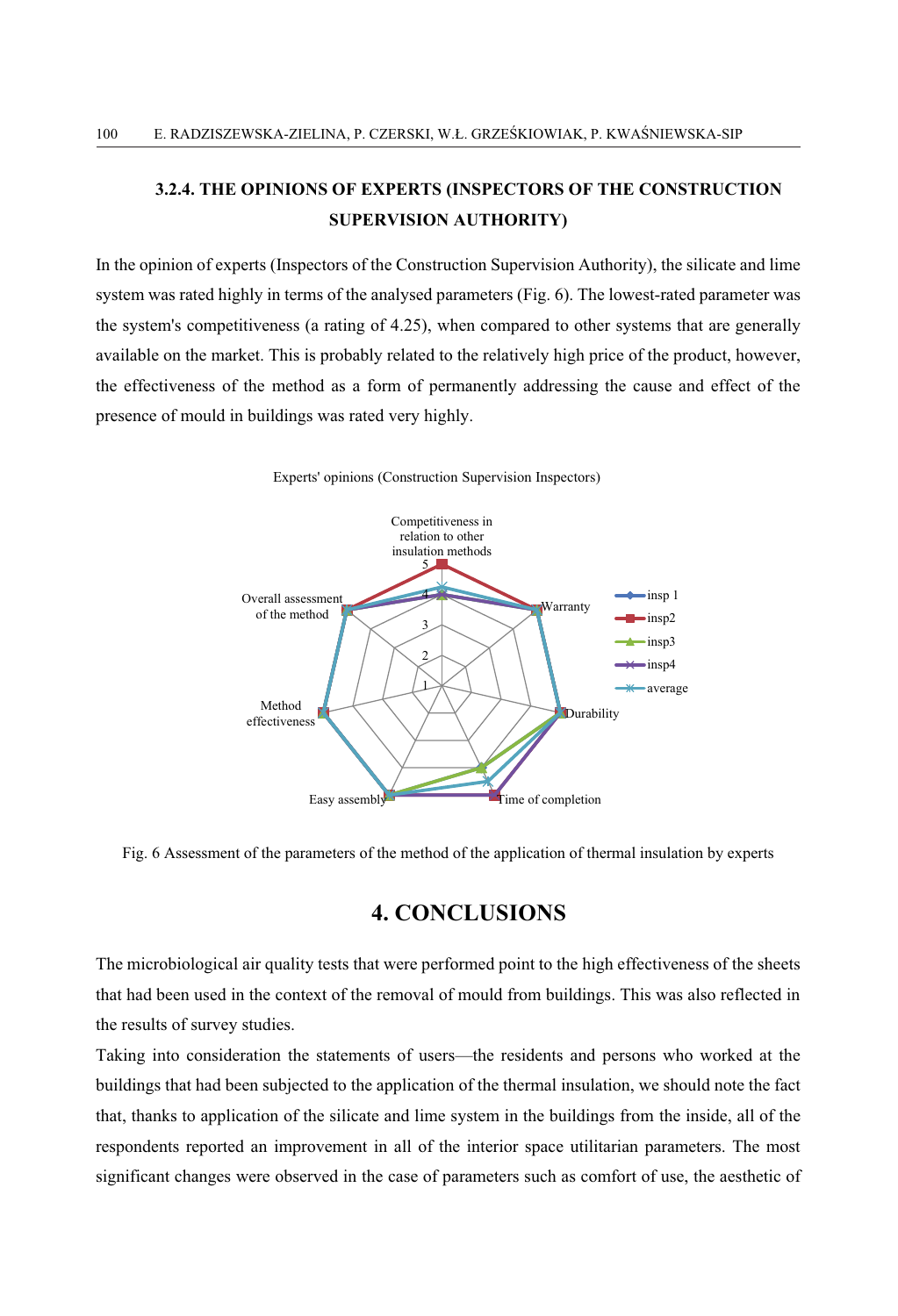### **3.2.4. THE OPINIONS OF EXPERTS (INSPECTORS OF THE CONSTRUCTION SUPERVISION AUTHORITY)**

In the opinion of experts (Inspectors of the Construction Supervision Authority), the silicate and lime system was rated highly in terms of the analysed parameters (Fig. 6). The lowest-rated parameter was the system's competitiveness (a rating of 4.25), when compared to other systems that are generally available on the market. This is probably related to the relatively high price of the product, however, the effectiveness of the method as a form of permanently addressing the cause and effect of the presence of mould in buildings was rated very highly.



Experts' opinions (Construction Supervision Inspectors)

Fig. 6 Assessment of the parameters of the method of the application of thermal insulation by experts

#### **4. CONCLUSIONS**

The microbiological air quality tests that were performed point to the high effectiveness of the sheets that had been used in the context of the removal of mould from buildings. This was also reflected in the results of survey studies.

Taking into consideration the statements of users—the residents and persons who worked at the buildings that had been subjected to the application of the thermal insulation, we should note the fact that, thanks to application of the silicate and lime system in the buildings from the inside, all of the respondents reported an improvement in all of the interior space utilitarian parameters. The most significant changes were observed in the case of parameters such as comfort of use, the aesthetic of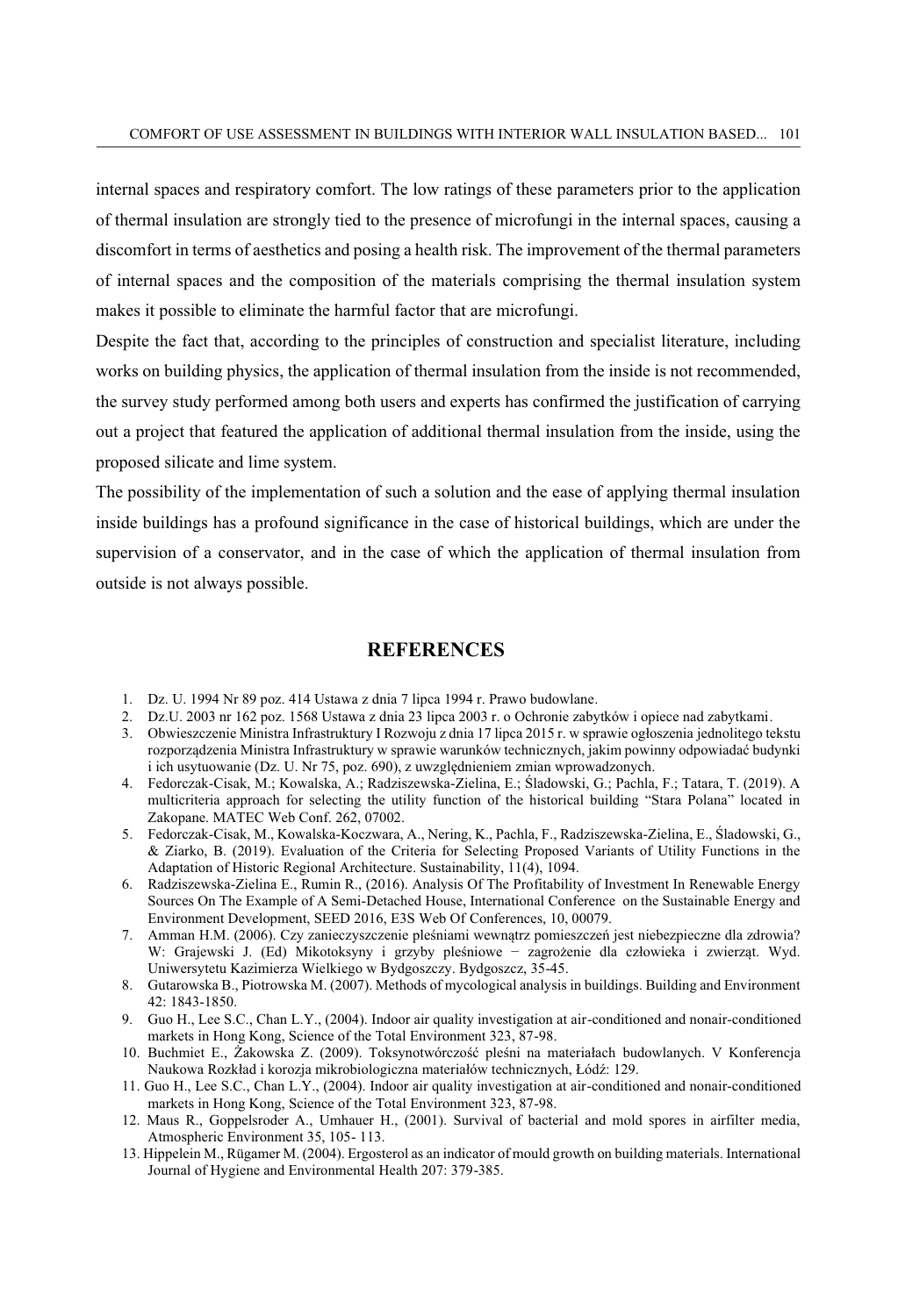internal spaces and respiratory comfort. The low ratings of these parameters prior to the application of thermal insulation are strongly tied to the presence of microfungi in the internal spaces, causing a discomfort in terms of aesthetics and posing a health risk. The improvement of the thermal parameters of internal spaces and the composition of the materials comprising the thermal insulation system makes it possible to eliminate the harmful factor that are microfungi.

Despite the fact that, according to the principles of construction and specialist literature, including works on building physics, the application of thermal insulation from the inside is not recommended, the survey study performed among both users and experts has confirmed the justification of carrying out a project that featured the application of additional thermal insulation from the inside, using the proposed silicate and lime system.

The possibility of the implementation of such a solution and the ease of applying thermal insulation inside buildings has a profound significance in the case of historical buildings, which are under the supervision of a conservator, and in the case of which the application of thermal insulation from outside is not always possible.

#### **REFERENCES**

- 1. Dz. U. 1994 Nr 89 poz. 414 Ustawa z dnia 7 lipca 1994 r. Prawo budowlane.
- 2. Dz.U. 2003 nr 162 poz. 1568 Ustawa z dnia 23 lipca 2003 r. o Ochronie zabytków i opiece nad zabytkami.
- 3. Obwieszczenie Ministra Infrastruktury I Rozwoju z dnia 17 lipca 2015 r. w sprawie ogłoszenia jednolitego tekstu rozporządzenia Ministra Infrastruktury w sprawie warunków technicznych, jakim powinny odpowiadać budynki i ich usytuowanie (Dz. U. Nr 75, poz. 690), z uwzględnieniem zmian wprowadzonych.
- 4. Fedorczak-Cisak, M.; Kowalska, A.; Radziszewska-Zielina, E.; Śladowski, G.; Pachla, F.; Tatara, T. (2019). A multicriteria approach for selecting the utility function of the historical building "Stara Polana" located in Zakopane. MATEC Web Conf. 262, 07002.
- 5. Fedorczak-Cisak, M., Kowalska-Koczwara, A., Nering, K., Pachla, F., Radziszewska-Zielina, E., Śladowski, G., & Ziarko, B. (2019). Evaluation of the Criteria for Selecting Proposed Variants of Utility Functions in the Adaptation of Historic Regional Architecture. Sustainability, 11(4), 1094.
- 6. Radziszewska-Zielina E., Rumin R., (2016). Analysis Of The Profitability of Investment In Renewable Energy Sources On The Example of A Semi-Detached House, International Conference on the Sustainable Energy and Environment Development, SEED 2016, E3S Web Of Conferences, 10, 00079.
- 7. Amman H.M. (2006). Czy zanieczyszczenie pleśniami wewnątrz pomieszczeń jest niebezpieczne dla zdrowia? W: Grajewski J. (Ed) Mikotoksyny i grzyby pleśniowe − zagrożenie dla człowieka i zwierząt. Wyd. Uniwersytetu Kazimierza Wielkiego w Bydgoszczy. Bydgoszcz, 35-45.
- 8. Gutarowska B., Piotrowska M. (2007). Methods of mycological analysis in buildings. Building and Environment 42: 1843-1850.
- 9. Guo H., Lee S.C., Chan L.Y., (2004). Indoor air quality investigation at air-conditioned and nonair-conditioned markets in Hong Kong, Science of the Total Environment 323, 87-98.
- 10. Buchmiet E., Żakowska Z. (2009). Toksynotwórczość pleśni na materiałach budowlanych. V Konferencja Naukowa Rozkład i korozja mikrobiologiczna materiałów technicznych, Łódź: 129.
- 11. Guo H., Lee S.C., Chan L.Y., (2004). Indoor air quality investigation at air-conditioned and nonair-conditioned markets in Hong Kong, Science of the Total Environment 323, 87-98.
- 12. Maus R., Goppelsroder A., Umhauer H., (2001). Survival of bacterial and mold spores in airfilter media, Atmospheric Environment 35, 105- 113.
- 13. Hippelein M., Rügamer M. (2004). Ergosterol as an indicator of mould growth on building materials. International Journal of Hygiene and Environmental Health 207: 379-385.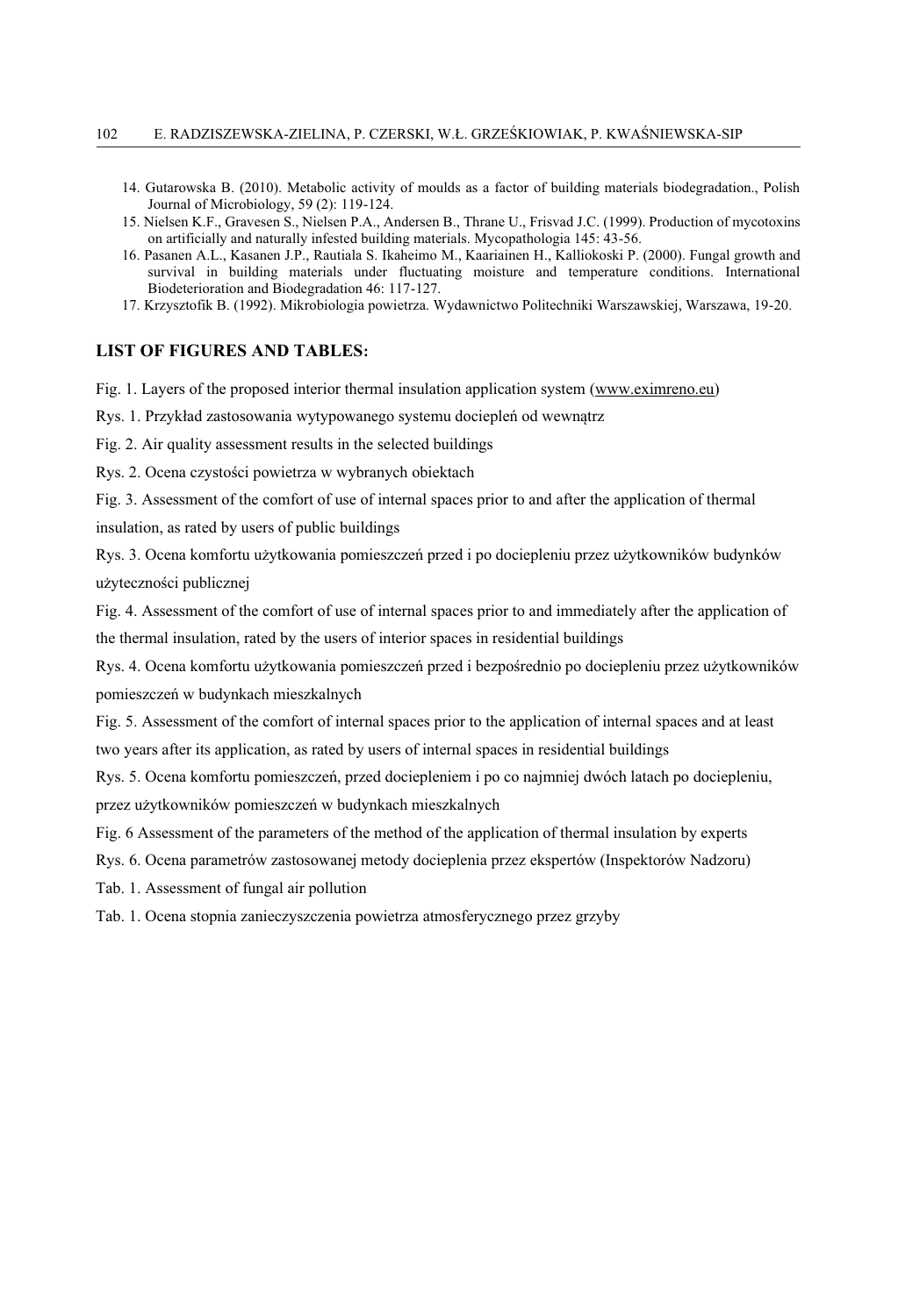- 14. Gutarowska B. (2010). Metabolic activity of moulds as a factor of building materials biodegradation., Polish Journal of Microbiology, 59 (2): 119-124.
- 15. Nielsen K.F., Gravesen S., Nielsen P.A., Andersen B., Thrane U., Frisvad J.C. (1999). Production of mycotoxins on artificially and naturally infested building materials. Mycopathologia 145: 43-56.
- 16. Pasanen A.L., Kasanen J.P., Rautiala S. Ikaheimo M., Kaariainen H., Kalliokoski P. (2000). Fungal growth and survival in building materials under fluctuating moisture and temperature conditions. International Biodeterioration and Biodegradation 46: 117-127.
- 17. Krzysztofik B. (1992). Mikrobiologia powietrza. Wydawnictwo Politechniki Warszawskiej, Warszawa, 19-20.

#### **LIST OF FIGURES AND TABLES:**

Fig. 1. Layers of the proposed interior thermal insulation application system (www.eximreno.eu)

Rys. 1. Przykład zastosowania wytypowanego systemu dociepleń od wewnątrz

Fig. 2. Air quality assessment results in the selected buildings

Rys. 2. Ocena czystości powietrza w wybranych obiektach

Fig. 3. Assessment of the comfort of use of internal spaces prior to and after the application of thermal

insulation, as rated by users of public buildings

Rys. 3. Ocena komfortu użytkowania pomieszczeń przed i po dociepleniu przez użytkowników budynków użyteczności publicznej

Fig. 4. Assessment of the comfort of use of internal spaces prior to and immediately after the application of the thermal insulation, rated by the users of interior spaces in residential buildings

Rys. 4. Ocena komfortu użytkowania pomieszczeń przed i bezpośrednio po dociepleniu przez użytkowników pomieszczeń w budynkach mieszkalnych

Fig. 5. Assessment of the comfort of internal spaces prior to the application of internal spaces and at least two years after its application, as rated by users of internal spaces in residential buildings

Rys. 5. Ocena komfortu pomieszczeń, przed dociepleniem i po co najmniej dwóch latach po dociepleniu, przez użytkowników pomieszczeń w budynkach mieszkalnych

Fig. 6 Assessment of the parameters of the method of the application of thermal insulation by experts

Rys. 6. Ocena parametrów zastosowanej metody docieplenia przez ekspertów (Inspektorów Nadzoru)

Tab. 1. Assessment of fungal air pollution

Tab. 1. Ocena stopnia zanieczyszczenia powietrza atmosferycznego przez grzyby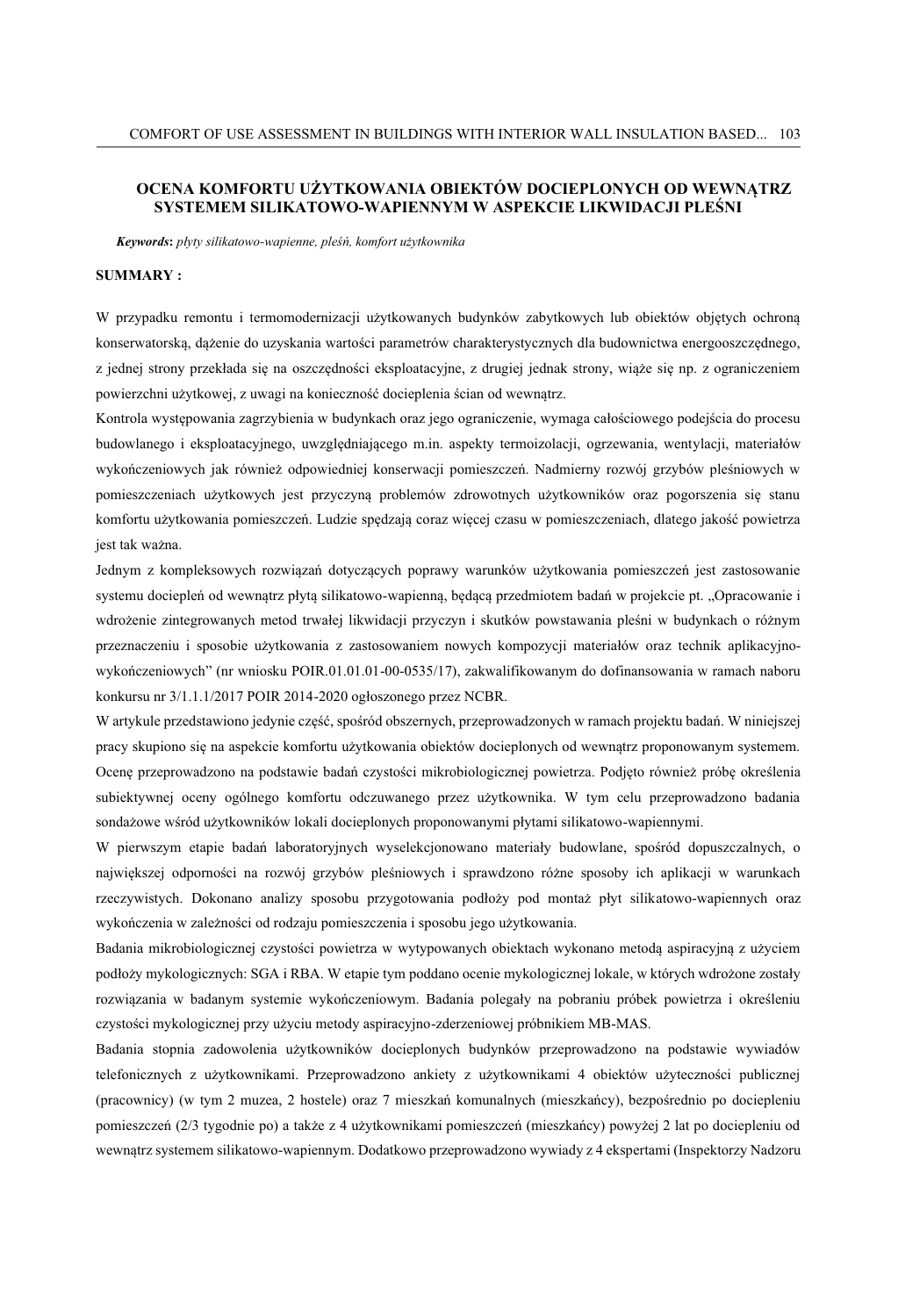#### **OCENA KOMFORTU UŻYTKOWANIA OBIEKTÓW DOCIEPLONYCH OD WEWNĄTRZ SYSTEMEM SILIKATOWO-WAPIENNYM W ASPEKCIE LIKWIDACJI PLEŚNI**

*Keywords***:** *płyty silikatowo-wapienne, pleśń, komfort użytkownika*

#### **SUMMARY :**

W przypadku remontu i termomodernizacji użytkowanych budynków zabytkowych lub obiektów objętych ochroną konserwatorską, dążenie do uzyskania wartości parametrów charakterystycznych dla budownictwa energooszczędnego, z jednej strony przekłada się na oszczędności eksploatacyjne, z drugiej jednak strony, wiąże się np. z ograniczeniem powierzchni użytkowej, z uwagi na konieczność docieplenia ścian od wewnątrz.

Kontrola występowania zagrzybienia w budynkach oraz jego ograniczenie, wymaga całościowego podejścia do procesu budowlanego i eksploatacyjnego, uwzględniającego m.in. aspekty termoizolacji, ogrzewania, wentylacji, materiałów wykończeniowych jak również odpowiedniej konserwacji pomieszczeń. Nadmierny rozwój grzybów pleśniowych w pomieszczeniach użytkowych jest przyczyną problemów zdrowotnych użytkowników oraz pogorszenia się stanu komfortu użytkowania pomieszczeń. Ludzie spędzają coraz więcej czasu w pomieszczeniach, dlatego jakość powietrza jest tak ważna.

Jednym z kompleksowych rozwiązań dotyczących poprawy warunków użytkowania pomieszczeń jest zastosowanie systemu dociepleń od wewnątrz płytą silikatowo-wapienną, będącą przedmiotem badań w projekcie pt. "Opracowanie i wdrożenie zintegrowanych metod trwałej likwidacji przyczyn i skutków powstawania pleśni w budynkach o różnym przeznaczeniu i sposobie użytkowania z zastosowaniem nowych kompozycji materiałów oraz technik aplikacyjnowykończeniowych" (nr wniosku POIR.01.01.01-00-0535/17), zakwalifikowanym do dofinansowania w ramach naboru konkursu nr 3/1.1.1/2017 POIR 2014-2020 ogłoszonego przez NCBR.

W artykule przedstawiono jedynie część, spośród obszernych, przeprowadzonych w ramach projektu badań. W niniejszej pracy skupiono się na aspekcie komfortu użytkowania obiektów docieplonych od wewnątrz proponowanym systemem. Ocenę przeprowadzono na podstawie badań czystości mikrobiologicznej powietrza. Podjęto również próbę określenia subiektywnej oceny ogólnego komfortu odczuwanego przez użytkownika. W tym celu przeprowadzono badania sondażowe wśród użytkowników lokali docieplonych proponowanymi płytami silikatowo-wapiennymi.

W pierwszym etapie badań laboratoryjnych wyselekcjonowano materiały budowlane, spośród dopuszczalnych, o największej odporności na rozwój grzybów pleśniowych i sprawdzono różne sposoby ich aplikacji w warunkach rzeczywistych. Dokonano analizy sposobu przygotowania podłoży pod montaż płyt silikatowo-wapiennych oraz wykończenia w zależności od rodzaju pomieszczenia i sposobu jego użytkowania.

Badania mikrobiologicznej czystości powietrza w wytypowanych obiektach wykonano metodą aspiracyjną z użyciem podłoży mykologicznych: SGA i RBA. W etapie tym poddano ocenie mykologicznej lokale, w których wdrożone zostały rozwiązania w badanym systemie wykończeniowym. Badania polegały na pobraniu próbek powietrza i określeniu czystości mykologicznej przy użyciu metody aspiracyjno-zderzeniowej próbnikiem MB-MAS.

Badania stopnia zadowolenia użytkowników docieplonych budynków przeprowadzono na podstawie wywiadów telefonicznych z użytkownikami. Przeprowadzono ankiety z użytkownikami 4 obiektów użyteczności publicznej (pracownicy) (w tym 2 muzea, 2 hostele) oraz 7 mieszkań komunalnych (mieszkańcy), bezpośrednio po dociepleniu pomieszczeń (2/3 tygodnie po) a także z 4 użytkownikami pomieszczeń (mieszkańcy) powyżej 2 lat po dociepleniu od wewnątrz systemem silikatowo-wapiennym. Dodatkowo przeprowadzono wywiady z 4 ekspertami (Inspektorzy Nadzoru